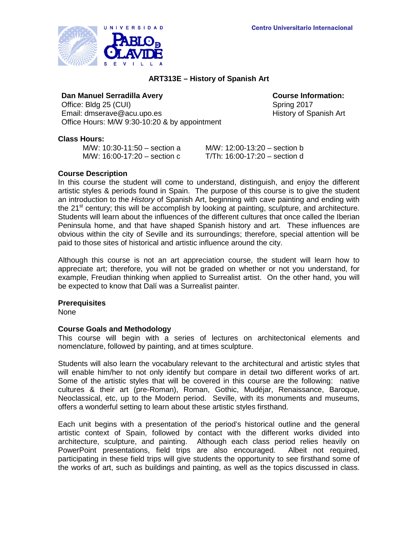

# **ART313E – History of Spanish Art**

### **Dan Manuel Serradilla Avery <b>Course** Course Information:

Office: Bldg 25 (CUI) Spring 2017 Email: dmserave@acu.upo.es https://www.facebook.com/history of Spanish Art Office Hours: M/W 9:30-10:20 & by appointment

## **Class Hours:**

M/W: 10:30-11:50 – section a M/W: 12:00-13:20 – section b<br>M/W: 16:00-17:20 – section c T/Th: 16:00-17:20 – section d  $M/W: 16:00-17:20 -$  section c

### **Course Description**

In this course the student will come to understand, distinguish, and enjoy the different artistic styles & periods found in Spain. The purpose of this course is to give the student an introduction to the *History* of Spanish Art, beginning with cave painting and ending with the 21<sup>st</sup> century; this will be accomplish by looking at painting, sculpture, and architecture. Students will learn about the influences of the different cultures that once called the Iberian Peninsula home, and that have shaped Spanish history and art. These influences are obvious within the city of Seville and its surroundings; therefore, special attention will be paid to those sites of historical and artistic influence around the city.

Although this course is not an art appreciation course, the student will learn how to appreciate art; therefore, you will not be graded on whether or not you understand, for example, Freudian thinking when applied to Surrealist artist. On the other hand, you will be expected to know that Dalí was a Surrealist painter.

### **Prerequisites**

None

## **Course Goals and Methodology**

This course will begin with a series of lectures on architectonical elements and nomenclature, followed by painting, and at times sculpture.

Students will also learn the vocabulary relevant to the architectural and artistic styles that will enable him/her to not only identify but compare in detail two different works of art. Some of the artistic styles that will be covered in this course are the following: native cultures & their art (pre-Roman), Roman, Gothic, Mudéjar, Renaissance, Baroque, Neoclassical, etc, up to the Modern period. Seville, with its monuments and museums, offers a wonderful setting to learn about these artistic styles firsthand.

Each unit begins with a presentation of the period's historical outline and the general artistic context of Spain, followed by contact with the different works divided into architecture, sculpture, and painting. Although each class period relies heavily on PowerPoint presentations, field trips are also encouraged. Albeit not required, participating in these field trips will give students the opportunity to see firsthand some of the works of art, such as buildings and painting, as well as the topics discussed in class.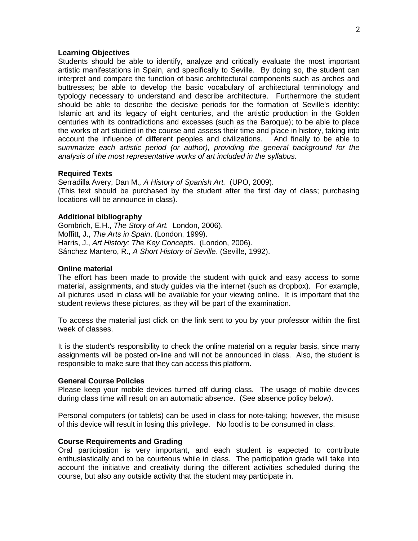### **Learning Objectives**

Students should be able to identify, analyze and critically evaluate the most important artistic manifestations in Spain, and specifically to Seville. By doing so, the student can interpret and compare the function of basic architectural components such as arches and buttresses; be able to develop the basic vocabulary of architectural terminology and typology necessary to understand and describe architecture. Furthermore the student should be able to describe the decisive periods for the formation of Seville's identity: Islamic art and its legacy of eight centuries, and the artistic production in the Golden centuries with its contradictions and excesses (such as the Baroque); to be able to place the works of art studied in the course and assess their time and place in history, taking into account the influence of different peoples and civilizations. And finally to be able to s*ummarize each artistic period (or author), providing the general background for the analysis of the most representative works of art included in the syllabus.*

### **Required Texts**

Serradilla Avery, Dan M.*, A History of Spanish Art.* (UPO, 2009). (This text should be purchased by the student after the first day of class; purchasing locations will be announce in class).

### **Additional bibliography**

Gombrich, E.H., *The Story of Art.* London, 2006). Moffitt, J., *The Arts in Spain*. (London, 1999). Harris, J., *Art History: The Key Concepts*. (London, 2006). Sánchez Mantero, R., *A Short History of Seville*. (Seville, 1992).

#### **Online material**

The effort has been made to provide the student with quick and easy access to some material, assignments, and study guides via the internet (such as dropbox). For example, all pictures used in class will be available for your viewing online. It is important that the student reviews these pictures, as they will be part of the examination.

To access the material just click on the link sent to you by your professor within the first week of classes.

It is the student's responsibility to check the online material on a regular basis, since many assignments will be posted on-line and will not be announced in class. Also, the student is responsible to make sure that they can access this platform.

### **General Course Policies**

Please keep your mobile devices turned off during class. The usage of mobile devices during class time will result on an automatic absence. (See absence policy below).

Personal computers (or tablets) can be used in class for note-taking; however, the misuse of this device will result in losing this privilege. No food is to be consumed in class.

### **Course Requirements and Grading**

Oral participation is very important, and each student is expected to contribute enthusiastically and to be courteous while in class. The participation grade will take into account the initiative and creativity during the different activities scheduled during the course, but also any outside activity that the student may participate in.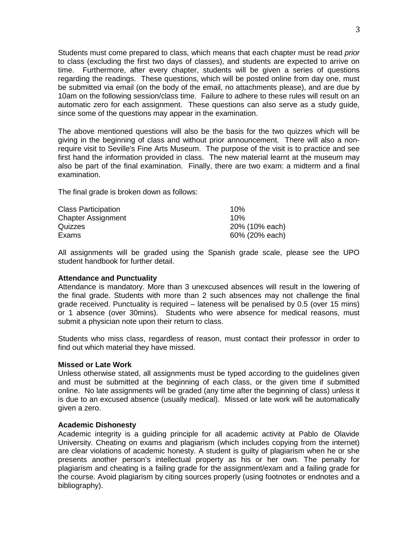Students must come prepared to class, which means that each chapter must be read *prior* to class (excluding the first two days of classes), and students are expected to arrive on time. Furthermore, after every chapter, students will be given a series of questions regarding the readings. These questions, which will be posted online from day one, must be submitted via email (on the body of the email, no attachments please), and are due by 10am on the following session/class time. Failure to adhere to these rules will result on an automatic zero for each assignment. These questions can also serve as a study guide, since some of the questions may appear in the examination.

The above mentioned questions will also be the basis for the two quizzes which will be giving in the beginning of class and without prior announcement. There will also a nonrequire visit to Seville's Fine Arts Museum. The purpose of the visit is to practice and see first hand the information provided in class. The new material learnt at the museum may also be part of the final examination. Finally, there are two exam: a midterm and a final examination.

The final grade is broken down as follows:

| <b>Class Participation</b> | 10%            |
|----------------------------|----------------|
| <b>Chapter Assignment</b>  | 10%            |
| <b>Quizzes</b>             | 20% (10% each) |
| Exams                      | 60% (20% each) |

All assignments will be graded using the Spanish grade scale, please see the UPO student handbook for further detail.

## **Attendance and Punctuality**

Attendance is mandatory. More than 3 unexcused absences will result in the lowering of the final grade. Students with more than 2 such absences may not challenge the final grade received. Punctuality is required – lateness will be penalised by 0.5 (over 15 mins) or 1 absence (over 30mins). Students who were absence for medical reasons, must submit a physician note upon their return to class.

Students who miss class, regardless of reason, must contact their professor in order to find out which material they have missed.

## **Missed or Late Work**

Unless otherwise stated, all assignments must be typed according to the guidelines given and must be submitted at the beginning of each class, or the given time if submitted online. No late assignments will be graded (any time after the beginning of class) unless it is due to an excused absence (usually medical). Missed or late work will be automatically given a zero.

## **Academic Dishonesty**

Academic integrity is a guiding principle for all academic activity at Pablo de Olavide University. Cheating on exams and plagiarism (which includes copying from the internet) are clear violations of academic honesty. A student is guilty of plagiarism when he or she presents another person's intellectual property as his or her own. The penalty for plagiarism and cheating is a failing grade for the assignment/exam and a failing grade for the course. Avoid plagiarism by citing sources properly (using footnotes or endnotes and a bibliography).